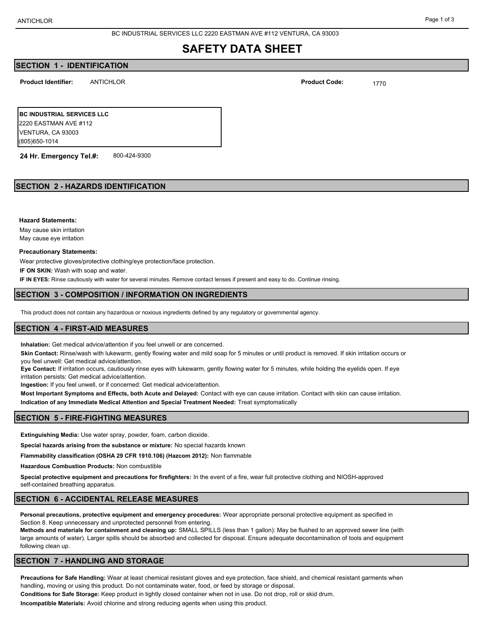BC INDUSTRIAL SERVICES LLC 2220 EASTMAN AVE #112 VENTURA, CA 93003

# **SAFETY DATA SHEET**

# **SECTION 1 - IDENTIFICATION**

**Product Identifier: Product Code:**

ANTICHLOR 1770

**BC INDUSTRIAL SERVICES LLC** 2220 EASTMAN AVE #112 VENTURA, CA 93003 (805)650-1014

**24 Hr. Emergency Tel.#:** 800-424-9300

# **SECTION 2 - HAZARDS IDENTIFICATION**

**Hazard Statements:**

May cause skin irritation May cause eye irritation

#### **Precautionary Statements:**

Wear protective gloves/protective clothing/eye protection/face protection.

**IF ON SKIN:** Wash with soap and water.

**IF IN EYES:** Rinse cautiously with water for several minutes. Remove contact lenses if present and easy to do. Continue rinsing.

## **SECTION 3 - COMPOSITION / INFORMATION ON INGREDIENTS**

This product does not contain any hazardous or noxious ingredients defined by any regulatory or governmental agency.

## **SECTION 4 - FIRST-AID MEASURES**

**Inhalation:** Get medical advice/attention if you feel unwell or are concerned.

**Skin Contact:** Rinse/wash with lukewarm, gently flowing water and mild soap for 5 minutes or until product is removed. If skin irritation occurs or you feel unwell: Get medical advice/attention.

**Eye Contact:** If irritation occurs, cautiously rinse eyes with lukewarm, gently flowing water for 5 minutes, while holding the eyelids open. If eye irritation persists: Get medical advice/attention.

**Ingestion:** If you feel unwell, or if concerned: Get medical advice/attention.

**Most Important Symptoms and Effects, both Acute and Delayed:** Contact with eye can cause irritation. Contact with skin can cause irritation. **Indication of any Immediate Medical Attention and Special Treatment Needed:** Treat symptomatically

## **SECTION 5 - FIRE-FIGHTING MEASURES**

**Extinguishing Media:** Use water spray, powder, foam, carbon dioxide.

**Special hazards arising from the substance or mixture:** No special hazards known

**Flammability classification (OSHA 29 CFR 1910.106) (Hazcom 2012):** Non flammable

**Hazardous Combustion Products:** Non combustible

**Special protective equipment and precautions for firefighters:** In the event of a fire, wear full protective clothing and NIOSH-approved self-contained breathing apparatus.

## **SECTION 6 - ACCIDENTAL RELEASE MEASURES**

**Personal precautions, protective equipment and emergency procedures:** Wear appropriate personal protective equipment as specified in Section 8. Keep unnecessary and unprotected personnel from entering.

**Methods and materials for containment and cleaning up:** SMALL SPILLS (less than 1 gallon): May be flushed to an approved sewer line (with large amounts of water). Larger spills should be absorbed and collected for disposal. Ensure adequate decontamination of tools and equipment following clean up.

# **SECTION 7 - HANDLING AND STORAGE**

**Precautions for Safe Handling:** Wear at least chemical resistant gloves and eye protection, face shield, and chemical resistant garments when handling, moving or using this product. Do not contaminate water, food, or feed by storage or disposal.

**Conditions for Safe Storage:** Keep product in tightly closed container when not in use. Do not drop, roll or skid drum.

**Incompatible Materials:** Avoid chlorine and strong reducing agents when using this product.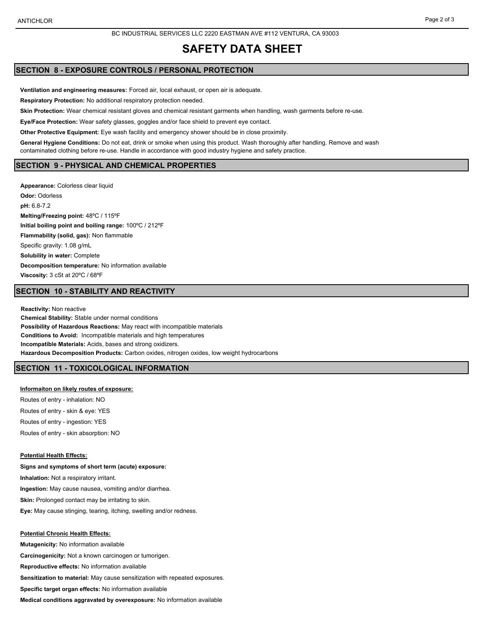#### BC INDUSTRIAL SERVICES LLC 2220 EASTMAN AVE #112 VENTURA, CA 93003

# **SAFETY DATA SHEET**

# **SECTION 8 - EXPOSURE CONTROLS / PERSONAL PROTECTION**

**Ventilation and engineering measures:** Forced air, local exhaust, or open air is adequate.

**Respiratory Protection:** No additional respiratory protection needed.

**Skin Protection:** Wear chemical resistant gloves and chemical resistant garments when handling, wash garments before re-use.

**Eye/Face Protection:** Wear safety glasses, goggles and/or face shield to prevent eye contact.

**Other Protective Equipment:** Eye wash facility and emergency shower should be in close proximity.

**General Hygiene Conditions:** Do not eat, drink or smoke when using this product. Wash thoroughly after handling. Remove and wash contaminated clothing before re-use. Handle in accordance with good industry hygiene and safety practice.

## **SECTION 9 - PHYSICAL AND CHEMICAL PROPERTIES**

**Appearance:** Colorless clear liquid **Odor:** Odorless **pH:** 6.8-7.2 **Melting/Freezing point:** 48ºC / 115ºF **Initial boiling point and boiling range:** 100ºC / 212ºF **Flammability (solid, gas):** Non flammable Specific gravity: 1.08 g/mL **Solubility in water:** Complete **Decomposition temperature:** No information available **Viscosity:** 3 cSt at 20ºC / 68ºF

# **SECTION 10 - STABILITY AND REACTIVITY**

**Reactivity:** Non reactive **Chemical Stability:** Stable under normal conditions **Possibility of Hazardous Reactions:** May react with incompatible materials **Conditions to Avoid:** Incompatible materials and high temperatures **Incompatible Materials:** Acids, bases and strong oxidizers. **Hazardous Decomposition Products:** Carbon oxides, nitrogen oxides, low weight hydrocarbons

## **SECTION 11 - TOXICOLOGICAL INFORMATION**

#### **Informaiton on likely routes of exposure:**

Routes of entry - inhalation: NO Routes of entry - skin & eye: YES Routes of entry - ingestion: YES Routes of entry - skin absorption: NO

## **Potential Health Effects:**

**Signs and symptoms of short term (acute) exposure: Inhalation:** Not a respiratory irritant. **Ingestion:** May cause nausea, vomiting and/or diarrhea. **Skin:** Prolonged contact may be irritating to skin. **Eye:** May cause stinging, tearing, itching, swelling and/or redness.

#### **Potential Chronic Health Effects:**

**Mutagenicity:** No information available **Carcinogenicity:** Not a known carcinogen or tumorigen. **Reproductive effects:** No information available **Sensitization to material:** May cause sensitization with repeated exposures. **Specific target organ effects:** No information available **Medical conditions aggravated by overexposure:** No information available